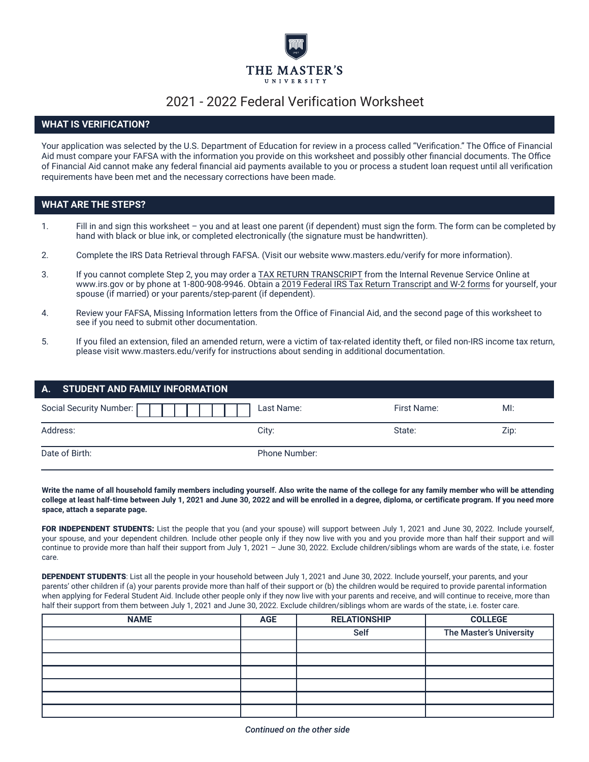

# 2021 - 2022 Federal Verification Worksheet

# **WHAT IS VERIFICATION?**

Your application was selected by the U.S. Department of Education for review in a process called "Verification." The Office of Financial Aid must compare your FAFSA with the information you provide on this worksheet and possibly other financial documents. The Office of Financial Aid cannot make any federal financial aid payments available to you or process a student loan request until all verification requirements have been met and the necessary corrections have been made.

### **WHAT ARE THE STEPS?**

- 1. Fill in and sign this worksheet you and at least one parent (if dependent) must sign the form. The form can be completed by hand with black or blue ink, or completed electronically (the signature must be handwritten).
- 2. Complete the IRS Data Retrieval through FAFSA. (Visit our website www.masters.edu/verify for more information).
- 3. If you cannot complete Step 2, you may order a TAX RETURN TRANSCRIPT from the Internal Revenue Service Online at www.irs.gov or by phone at 1-800-908-9946. Obtain a 2019 Federal IRS Tax Return Transcript and W-2 forms for yourself, your spouse (if married) or your parents/step-parent (if dependent).
- 4. Review your FAFSA, Missing Information letters from the Office of Financial Aid, and the second page of this worksheet to see if you need to submit other documentation.
- 5. If you filed an extension, filed an amended return, were a victim of tax-related identity theft, or filed non-IRS income tax return, please visit www.masters.edu/verify for instructions about sending in additional documentation.

| A. STUDENT AND FAMILY INFORMATION |               |             |      |
|-----------------------------------|---------------|-------------|------|
| Social Security Number: [         | Last Name:    | First Name: | M!   |
| Address:                          | City:         | State:      | Zip: |
| Date of Birth:                    | Phone Number: |             |      |

**Write the name of all household family members including yourself. Also write the name of the college for any family member who will be attending college at least half-time between July 1, 20**21 **and June 30, 202**2 **and will be enrolled in a degree, diploma, or certificate program. If you need more space, attach a separate page.**

FOR INDEPENDENT STUDENTS: List the people that you (and your spouse) will support between July 1, 2021 and June 30, 2022. Include yourself, your spouse, and your dependent children. Include other people only if they now live with you and you provide more than half their support and will continue to provide more than half their support from July 1, 2021 – June 30, 2022. Exclude children/siblings whom are wards of the state, i.e. foster care.

DEPENDENT STUDENTS: List all the people in your household between July 1, 2021 and June 30, 2022. Include yourself, your parents, and your parents' other children if (a) your parents provide more than half of their support or (b) the children would be required to provide parental information when applying for Federal Student Aid. Include other people only if they now live with your parents and receive, and will continue to receive, more than half their support from them between July 1, 2021 and June 30, 2022. Exclude children/siblings whom are wards of the state, i.e. foster care.

| <b>NAME</b> | <b>AGE</b> | <b>RELATIONSHIP</b> | <b>COLLEGE</b>          |
|-------------|------------|---------------------|-------------------------|
|             |            | <b>Self</b>         | The Master's University |
|             |            |                     |                         |
|             |            |                     |                         |
|             |            |                     |                         |
|             |            |                     |                         |
|             |            |                     |                         |
|             |            |                     |                         |